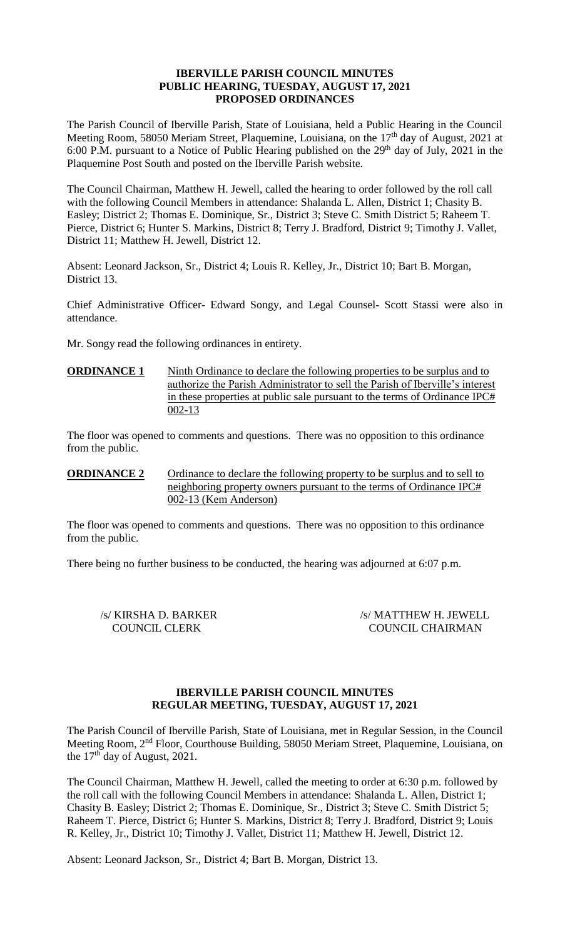### **IBERVILLE PARISH COUNCIL MINUTES PUBLIC HEARING, TUESDAY, AUGUST 17, 2021 PROPOSED ORDINANCES**

The Parish Council of Iberville Parish, State of Louisiana, held a Public Hearing in the Council Meeting Room, 58050 Meriam Street, Plaquemine, Louisiana, on the 17<sup>th</sup> day of August, 2021 at 6:00 P.M. pursuant to a Notice of Public Hearing published on the  $29<sup>th</sup>$  day of July, 2021 in the Plaquemine Post South and posted on the Iberville Parish website.

The Council Chairman, Matthew H. Jewell, called the hearing to order followed by the roll call with the following Council Members in attendance: Shalanda L. Allen, District 1; Chasity B. Easley; District 2; Thomas E. Dominique, Sr., District 3; Steve C. Smith District 5; Raheem T. Pierce, District 6; Hunter S. Markins, District 8; Terry J. Bradford, District 9; Timothy J. Vallet, District 11; Matthew H. Jewell, District 12.

Absent: Leonard Jackson, Sr., District 4; Louis R. Kelley, Jr., District 10; Bart B. Morgan, District 13.

Chief Administrative Officer- Edward Songy, and Legal Counsel- Scott Stassi were also in attendance.

Mr. Songy read the following ordinances in entirety.

### **ORDINANCE 1** Ninth Ordinance to declare the following properties to be surplus and to authorize the Parish Administrator to sell the Parish of Iberville's interest in these properties at public sale pursuant to the terms of Ordinance IPC# 002-13

The floor was opened to comments and questions. There was no opposition to this ordinance from the public.

**ORDINANCE 2** Ordinance to declare the following property to be surplus and to sell to neighboring property owners pursuant to the terms of Ordinance IPC# 002-13 (Kem Anderson)

The floor was opened to comments and questions. There was no opposition to this ordinance from the public.

There being no further business to be conducted, the hearing was adjourned at 6:07 p.m.

/s/ KIRSHA D. BARKER /s/ MATTHEW H. JEWELL COUNCIL CLERK COUNCIL CHAIRMAN

# **IBERVILLE PARISH COUNCIL MINUTES REGULAR MEETING, TUESDAY, AUGUST 17, 2021**

The Parish Council of Iberville Parish, State of Louisiana, met in Regular Session, in the Council Meeting Room, 2nd Floor, Courthouse Building, 58050 Meriam Street, Plaquemine, Louisiana, on the  $17<sup>th</sup>$  day of August, 2021.

The Council Chairman, Matthew H. Jewell, called the meeting to order at 6:30 p.m. followed by the roll call with the following Council Members in attendance: Shalanda L. Allen, District 1; Chasity B. Easley; District 2; Thomas E. Dominique, Sr., District 3; Steve C. Smith District 5; Raheem T. Pierce, District 6; Hunter S. Markins, District 8; Terry J. Bradford, District 9; Louis R. Kelley, Jr., District 10; Timothy J. Vallet, District 11; Matthew H. Jewell, District 12.

Absent: Leonard Jackson, Sr., District 4; Bart B. Morgan, District 13.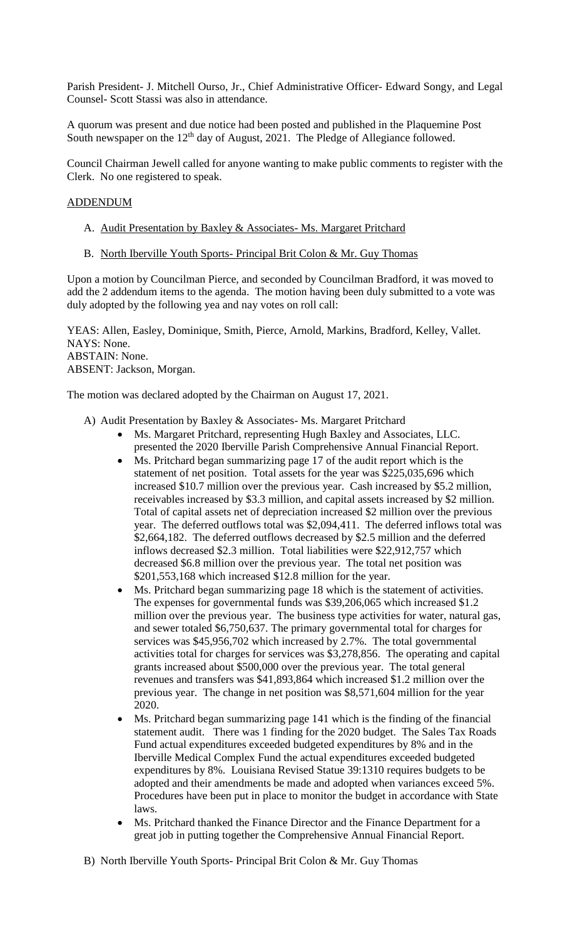Parish President- J. Mitchell Ourso, Jr., Chief Administrative Officer- Edward Songy, and Legal Counsel- Scott Stassi was also in attendance.

A quorum was present and due notice had been posted and published in the Plaquemine Post South newspaper on the 12<sup>th</sup> day of August, 2021. The Pledge of Allegiance followed.

Council Chairman Jewell called for anyone wanting to make public comments to register with the Clerk. No one registered to speak.

# ADDENDUM

- A. Audit Presentation by Baxley & Associates- Ms. Margaret Pritchard
- B. North Iberville Youth Sports- Principal Brit Colon & Mr. Guy Thomas

Upon a motion by Councilman Pierce, and seconded by Councilman Bradford, it was moved to add the 2 addendum items to the agenda. The motion having been duly submitted to a vote was duly adopted by the following yea and nay votes on roll call:

YEAS: Allen, Easley, Dominique, Smith, Pierce, Arnold, Markins, Bradford, Kelley, Vallet. NAYS: None. ABSTAIN: None. ABSENT: Jackson, Morgan.

The motion was declared adopted by the Chairman on August 17, 2021.

- A) Audit Presentation by Baxley & Associates- Ms. Margaret Pritchard
	- Ms. Margaret Pritchard, representing Hugh Baxley and Associates, LLC. presented the 2020 Iberville Parish Comprehensive Annual Financial Report.
	- Ms. Pritchard began summarizing page 17 of the audit report which is the statement of net position. Total assets for the year was \$225,035,696 which increased \$10.7 million over the previous year. Cash increased by \$5.2 million, receivables increased by \$3.3 million, and capital assets increased by \$2 million. Total of capital assets net of depreciation increased \$2 million over the previous year. The deferred outflows total was \$2,094,411. The deferred inflows total was \$2,664,182. The deferred outflows decreased by \$2.5 million and the deferred inflows decreased \$2.3 million. Total liabilities were \$22,912,757 which decreased \$6.8 million over the previous year. The total net position was \$201,553,168 which increased \$12.8 million for the year.
	- Ms. Pritchard began summarizing page 18 which is the statement of activities. The expenses for governmental funds was \$39,206,065 which increased \$1.2 million over the previous year. The business type activities for water, natural gas, and sewer totaled \$6,750,637. The primary governmental total for charges for services was \$45,956,702 which increased by 2.7%. The total governmental activities total for charges for services was \$3,278,856. The operating and capital grants increased about \$500,000 over the previous year. The total general revenues and transfers was \$41,893,864 which increased \$1.2 million over the previous year. The change in net position was \$8,571,604 million for the year 2020.
	- Ms. Pritchard began summarizing page 141 which is the finding of the financial statement audit. There was 1 finding for the 2020 budget. The Sales Tax Roads Fund actual expenditures exceeded budgeted expenditures by 8% and in the Iberville Medical Complex Fund the actual expenditures exceeded budgeted expenditures by 8%. Louisiana Revised Statue 39:1310 requires budgets to be adopted and their amendments be made and adopted when variances exceed 5%. Procedures have been put in place to monitor the budget in accordance with State laws.
	- Ms. Pritchard thanked the Finance Director and the Finance Department for a great job in putting together the Comprehensive Annual Financial Report.
- B) North Iberville Youth Sports- Principal Brit Colon & Mr. Guy Thomas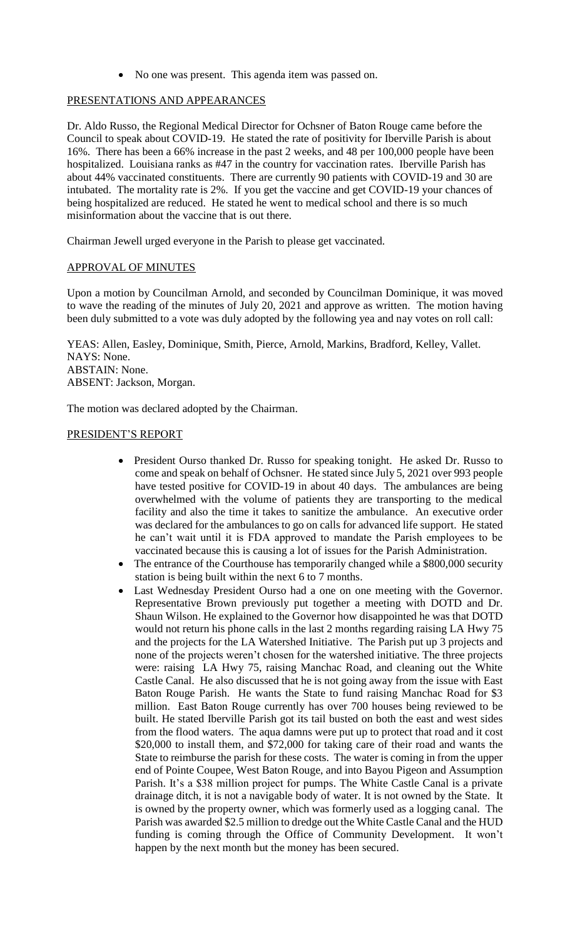• No one was present. This agenda item was passed on.

### PRESENTATIONS AND APPEARANCES

Dr. Aldo Russo, the Regional Medical Director for Ochsner of Baton Rouge came before the Council to speak about COVID-19. He stated the rate of positivity for Iberville Parish is about 16%. There has been a 66% increase in the past 2 weeks, and 48 per 100,000 people have been hospitalized. Louisiana ranks as #47 in the country for vaccination rates. Iberville Parish has about 44% vaccinated constituents. There are currently 90 patients with COVID-19 and 30 are intubated. The mortality rate is 2%. If you get the vaccine and get COVID-19 your chances of being hospitalized are reduced. He stated he went to medical school and there is so much misinformation about the vaccine that is out there.

Chairman Jewell urged everyone in the Parish to please get vaccinated.

# APPROVAL OF MINUTES

Upon a motion by Councilman Arnold, and seconded by Councilman Dominique, it was moved to wave the reading of the minutes of July 20, 2021 and approve as written. The motion having been duly submitted to a vote was duly adopted by the following yea and nay votes on roll call:

YEAS: Allen, Easley, Dominique, Smith, Pierce, Arnold, Markins, Bradford, Kelley, Vallet. NAYS: None. ABSTAIN: None. ABSENT: Jackson, Morgan.

The motion was declared adopted by the Chairman.

#### PRESIDENT'S REPORT

- President Ourso thanked Dr. Russo for speaking tonight. He asked Dr. Russo to come and speak on behalf of Ochsner. He stated since July 5, 2021 over 993 people have tested positive for COVID-19 in about 40 days. The ambulances are being overwhelmed with the volume of patients they are transporting to the medical facility and also the time it takes to sanitize the ambulance. An executive order was declared for the ambulances to go on calls for advanced life support. He stated he can't wait until it is FDA approved to mandate the Parish employees to be vaccinated because this is causing a lot of issues for the Parish Administration.
- The entrance of the Courthouse has temporarily changed while a \$800,000 security station is being built within the next 6 to 7 months.
- Last Wednesday President Ourso had a one on one meeting with the Governor. Representative Brown previously put together a meeting with DOTD and Dr. Shaun Wilson. He explained to the Governor how disappointed he was that DOTD would not return his phone calls in the last 2 months regarding raising LA Hwy 75 and the projects for the LA Watershed Initiative. The Parish put up 3 projects and none of the projects weren't chosen for the watershed initiative. The three projects were: raising LA Hwy 75, raising Manchac Road, and cleaning out the White Castle Canal. He also discussed that he is not going away from the issue with East Baton Rouge Parish. He wants the State to fund raising Manchac Road for \$3 million. East Baton Rouge currently has over 700 houses being reviewed to be built. He stated Iberville Parish got its tail busted on both the east and west sides from the flood waters. The aqua damns were put up to protect that road and it cost \$20,000 to install them, and \$72,000 for taking care of their road and wants the State to reimburse the parish for these costs. The water is coming in from the upper end of Pointe Coupee, West Baton Rouge, and into Bayou Pigeon and Assumption Parish. It's a \$38 million project for pumps. The White Castle Canal is a private drainage ditch, it is not a navigable body of water. It is not owned by the State. It is owned by the property owner, which was formerly used as a logging canal. The Parish was awarded \$2.5 million to dredge out the White Castle Canal and the HUD funding is coming through the Office of Community Development. It won't happen by the next month but the money has been secured.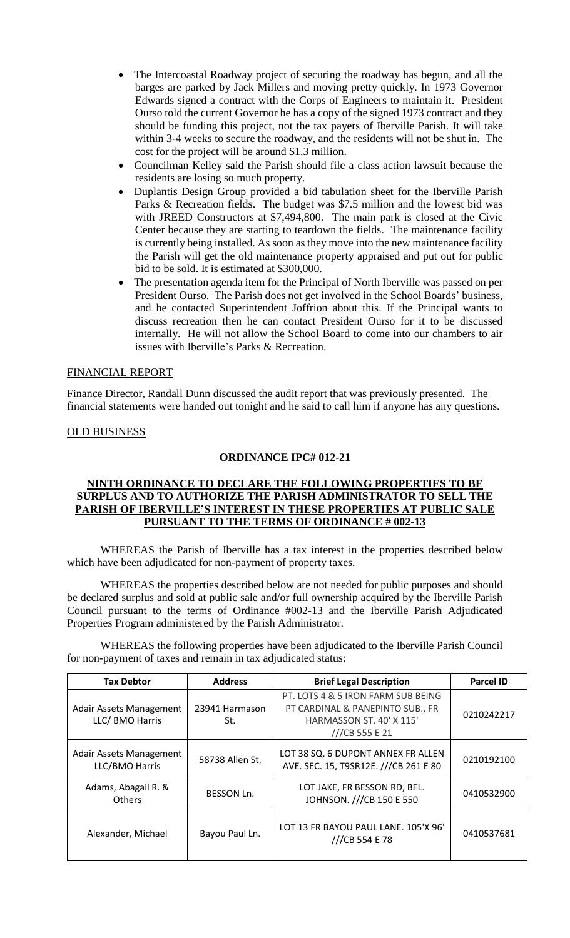- The Intercoastal Roadway project of securing the roadway has begun, and all the barges are parked by Jack Millers and moving pretty quickly. In 1973 Governor Edwards signed a contract with the Corps of Engineers to maintain it. President Ourso told the current Governor he has a copy of the signed 1973 contract and they should be funding this project, not the tax payers of Iberville Parish. It will take within 3-4 weeks to secure the roadway, and the residents will not be shut in. The cost for the project will be around \$1.3 million.
- Councilman Kelley said the Parish should file a class action lawsuit because the residents are losing so much property.
- Duplantis Design Group provided a bid tabulation sheet for the Iberville Parish Parks & Recreation fields. The budget was \$7.5 million and the lowest bid was with JREED Constructors at \$7,494,800. The main park is closed at the Civic Center because they are starting to teardown the fields. The maintenance facility is currently being installed. As soon as they move into the new maintenance facility the Parish will get the old maintenance property appraised and put out for public bid to be sold. It is estimated at \$300,000.
- The presentation agenda item for the Principal of North Iberville was passed on per President Ourso. The Parish does not get involved in the School Boards' business, and he contacted Superintendent Joffrion about this. If the Principal wants to discuss recreation then he can contact President Ourso for it to be discussed internally. He will not allow the School Board to come into our chambers to air issues with Iberville's Parks & Recreation.

#### FINANCIAL REPORT

Finance Director, Randall Dunn discussed the audit report that was previously presented. The financial statements were handed out tonight and he said to call him if anyone has any questions.

OLD BUSINESS

# **ORDINANCE IPC# 012-21**

### **NINTH ORDINANCE TO DECLARE THE FOLLOWING PROPERTIES TO BE SURPLUS AND TO AUTHORIZE THE PARISH ADMINISTRATOR TO SELL THE PARISH OF IBERVILLE'S INTEREST IN THESE PROPERTIES AT PUBLIC SALE PURSUANT TO THE TERMS OF ORDINANCE # 002-13**

WHEREAS the Parish of Iberville has a tax interest in the properties described below which have been adjudicated for non-payment of property taxes.

WHEREAS the properties described below are not needed for public purposes and should be declared surplus and sold at public sale and/or full ownership acquired by the Iberville Parish Council pursuant to the terms of Ordinance #002-13 and the Iberville Parish Adjudicated Properties Program administered by the Parish Administrator.

WHEREAS the following properties have been adjudicated to the Iberville Parish Council for non-payment of taxes and remain in tax adjudicated status:

| <b>Tax Debtor</b>                                 | <b>Address</b>        | <b>Brief Legal Description</b>                                                                                       | <b>Parcel ID</b> |
|---------------------------------------------------|-----------------------|----------------------------------------------------------------------------------------------------------------------|------------------|
| <b>Adair Assets Management</b><br>LLC/ BMO Harris | 23941 Harmason<br>St. | PT. LOTS 4 & 5 IRON FARM SUB BEING<br>PT CARDINAL & PANEPINTO SUB., FR<br>HARMASSON ST. 40' X 115'<br>///CB 555 E 21 | 0210242217       |
| <b>Adair Assets Management</b><br>LLC/BMO Harris  | 58738 Allen St.       | LOT 38 SQ. 6 DUPONT ANNEX FR ALLEN<br>AVE. SEC. 15, T9SR12E. ///CB 261 E 80                                          | 0210192100       |
| Adams, Abagail R. &<br><b>Others</b>              | <b>BESSON Ln.</b>     | LOT JAKE, FR BESSON RD, BEL.<br>JOHNSON. ///CB 150 E 550                                                             | 0410532900       |
| Alexander, Michael                                | Bayou Paul Ln.        | LOT 13 FR BAYOU PAUL LANE. 105'X 96'<br>///CB 554 E 78                                                               | 0410537681       |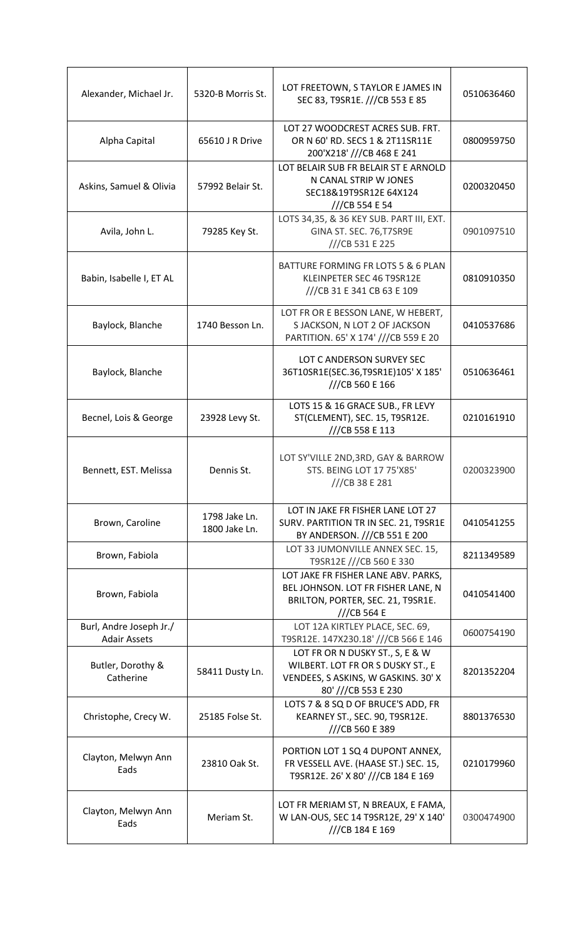| Alexander, Michael Jr.                         | 5320-B Morris St.              | LOT FREETOWN, S TAYLOR E JAMES IN<br>SEC 83, T9SR1E. ///CB 553 E 85                                                                | 0510636460 |
|------------------------------------------------|--------------------------------|------------------------------------------------------------------------------------------------------------------------------------|------------|
| Alpha Capital                                  | 65610 J R Drive                | LOT 27 WOODCREST ACRES SUB. FRT.<br>OR N 60' RD. SECS 1 & 2T11SR11E<br>200'X218' ///CB 468 E 241                                   | 0800959750 |
| Askins, Samuel & Olivia                        | 57992 Belair St.               | LOT BELAIR SUB FR BELAIR ST E ARNOLD<br>N CANAL STRIP W JONES<br>SEC18&19T9SR12E 64X124<br>///CB 554 E 54                          | 0200320450 |
| Avila, John L.                                 | 79285 Key St.                  | LOTS 34,35, & 36 KEY SUB. PART III, EXT.<br>GINA ST. SEC. 76, T7SR9E<br>///CB 531 E 225                                            | 0901097510 |
| Babin, Isabelle I, ET AL                       |                                | BATTURE FORMING FR LOTS 5 & 6 PLAN<br>KLEINPETER SEC 46 T9SR12E<br>///CB 31 E 341 CB 63 E 109                                      | 0810910350 |
| Baylock, Blanche                               | 1740 Besson Ln.                | LOT FR OR E BESSON LANE, W HEBERT,<br>S JACKSON, N LOT 2 OF JACKSON<br>PARTITION. 65' X 174' ///CB 559 E 20                        | 0410537686 |
| Baylock, Blanche                               |                                | LOT C ANDERSON SURVEY SEC<br>36T10SR1E(SEC.36,T9SR1E)105' X 185'<br>///CB 560 E 166                                                | 0510636461 |
| Becnel, Lois & George                          | 23928 Levy St.                 | LOTS 15 & 16 GRACE SUB., FR LEVY<br>ST(CLEMENT), SEC. 15, T9SR12E.<br>///CB 558 E 113                                              | 0210161910 |
| Bennett, EST. Melissa                          | Dennis St.                     | LOT SY'VILLE 2ND, 3RD, GAY & BARROW<br><b>STS. BEING LOT 17 75'X85'</b><br>$//$ CB 38 E 281                                        | 0200323900 |
| Brown, Caroline                                | 1798 Jake Ln.<br>1800 Jake Ln. | LOT IN JAKE FR FISHER LANE LOT 27<br>SURV. PARTITION TR IN SEC. 21, T9SR1E<br>BY ANDERSON. ///CB 551 E 200                         | 0410541255 |
| Brown, Fabiola                                 |                                | LOT 33 JUMONVILLE ANNEX SEC. 15,<br>T9SR12E ///CB 560 E 330                                                                        | 8211349589 |
| Brown, Fabiola                                 |                                | LOT JAKE FR FISHER LANE ABV. PARKS,<br>BEL JOHNSON. LOT FR FISHER LANE, N<br>BRILTON, PORTER, SEC. 21, T9SR1E.<br>$//CB$ 564 E     | 0410541400 |
| Burl, Andre Joseph Jr./<br><b>Adair Assets</b> |                                | LOT 12A KIRTLEY PLACE, SEC. 69,<br>T9SR12E. 147X230.18' ///CB 566 E 146                                                            | 0600754190 |
| Butler, Dorothy &<br>Catherine                 | 58411 Dusty Ln.                | LOT FR OR N DUSKY ST., S, E & W<br>WILBERT. LOT FR OR S DUSKY ST., E<br>VENDEES, S ASKINS, W GASKINS. 30' X<br>80' ///CB 553 E 230 | 8201352204 |
| Christophe, Crecy W.                           | 25185 Folse St.                | LOTS 7 & 8 SQ D OF BRUCE'S ADD, FR<br>KEARNEY ST., SEC. 90, T9SR12E.<br>///CB 560 E 389                                            | 8801376530 |
| Clayton, Melwyn Ann<br>Eads                    | 23810 Oak St.                  | PORTION LOT 1 SQ 4 DUPONT ANNEX,<br>FR VESSELL AVE. (HAASE ST.) SEC. 15,<br>T9SR12E. 26' X 80' ///CB 184 E 169                     | 0210179960 |
| Clayton, Melwyn Ann<br>Eads                    | Meriam St.                     | LOT FR MERIAM ST, N BREAUX, E FAMA,<br>W LAN-OUS, SEC 14 T9SR12E, 29' X 140'<br>///CB 184 E 169                                    | 0300474900 |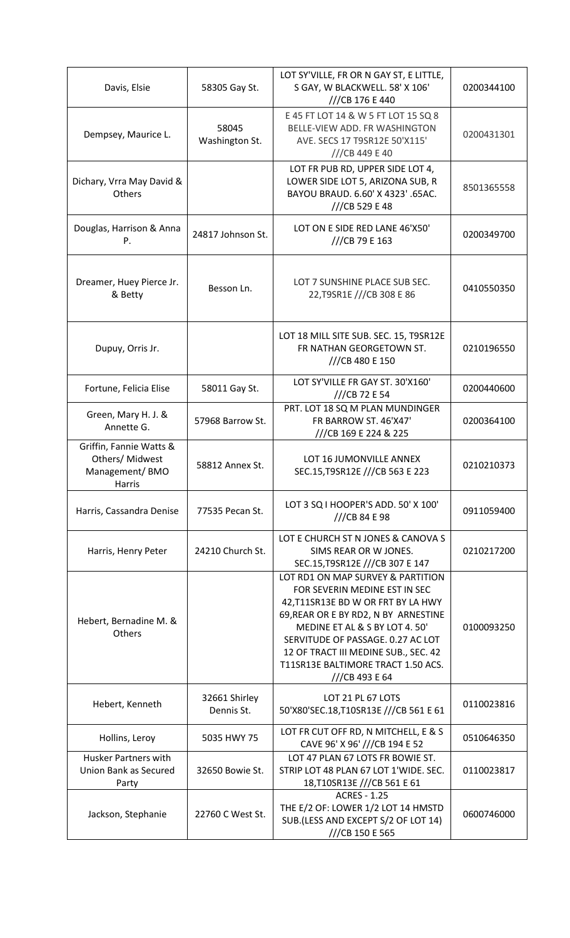| Davis, Elsie                                                           | 58305 Gay St.               | LOT SY'VILLE, FR OR N GAY ST, E LITTLE,<br>S GAY, W BLACKWELL. 58' X 106'<br>///CB 176 E 440                                                                                                                                                                                                                          | 0200344100 |
|------------------------------------------------------------------------|-----------------------------|-----------------------------------------------------------------------------------------------------------------------------------------------------------------------------------------------------------------------------------------------------------------------------------------------------------------------|------------|
| Dempsey, Maurice L.                                                    | 58045<br>Washington St.     | E 45 FT LOT 14 & W 5 FT LOT 15 SQ 8<br>BELLE-VIEW ADD. FR WASHINGTON<br>AVE. SECS 17 T9SR12E 50'X115'<br>$//$ CB 449 E 40                                                                                                                                                                                             | 0200431301 |
| Dichary, Vrra May David &<br>Others                                    |                             | LOT FR PUB RD, UPPER SIDE LOT 4,<br>LOWER SIDE LOT 5, ARIZONA SUB, R<br>BAYOU BRAUD. 6.60' X 4323' .65AC.<br>///CB 529 E 48                                                                                                                                                                                           | 8501365558 |
| Douglas, Harrison & Anna<br>P.                                         | 24817 Johnson St.           | LOT ON E SIDE RED LANE 46'X50'<br>///CB 79 E 163                                                                                                                                                                                                                                                                      | 0200349700 |
| Dreamer, Huey Pierce Jr.<br>& Betty                                    | Besson Ln.                  | LOT 7 SUNSHINE PLACE SUB SEC.<br>22, T9SR1E ///CB 308 E 86                                                                                                                                                                                                                                                            | 0410550350 |
| Dupuy, Orris Jr.                                                       |                             | LOT 18 MILL SITE SUB. SEC. 15, T9SR12E<br>FR NATHAN GEORGETOWN ST.<br>///CB 480 E 150                                                                                                                                                                                                                                 | 0210196550 |
| Fortune, Felicia Elise                                                 | 58011 Gay St.               | LOT SY'VILLE FR GAY ST. 30'X160'<br>///CB 72 E 54                                                                                                                                                                                                                                                                     | 0200440600 |
| Green, Mary H. J. &<br>Annette G.                                      | 57968 Barrow St.            | PRT. LOT 18 SQ M PLAN MUNDINGER<br>FR BARROW ST. 46'X47'<br>///CB 169 E 224 & 225                                                                                                                                                                                                                                     | 0200364100 |
| Griffin, Fannie Watts &<br>Others/ Midwest<br>Management/BMO<br>Harris | 58812 Annex St.             | LOT 16 JUMONVILLE ANNEX<br>SEC.15, T9SR12E ///CB 563 E 223                                                                                                                                                                                                                                                            | 0210210373 |
| Harris, Cassandra Denise                                               | 77535 Pecan St.             | LOT 3 SQ I HOOPER'S ADD. 50' X 100'<br>$//$ CB 84 E 98                                                                                                                                                                                                                                                                | 0911059400 |
| Harris, Henry Peter                                                    | 24210 Church St.            | LOT E CHURCH ST N JONES & CANOVA S<br>SIMS REAR OR W JONES.<br>SEC.15, T9SR12E ///CB 307 E 147                                                                                                                                                                                                                        | 0210217200 |
| Hebert, Bernadine M. &<br><b>Others</b>                                |                             | LOT RD1 ON MAP SURVEY & PARTITION<br>FOR SEVERIN MEDINE EST IN SEC<br>42, T11SR13E BD W OR FRT BY LA HWY<br>69, REAR OR E BY RD2, N BY ARNESTINE<br>MEDINE ET AL & S BY LOT 4.50'<br>SERVITUDE OF PASSAGE. 0.27 AC LOT<br>12 OF TRACT III MEDINE SUB., SEC. 42<br>T11SR13E BALTIMORE TRACT 1.50 ACS.<br>//CB 493 E 64 | 0100093250 |
| Hebert, Kenneth                                                        | 32661 Shirley<br>Dennis St. | LOT 21 PL 67 LOTS<br>50'X80'SEC.18,T10SR13E ///CB 561 E 61                                                                                                                                                                                                                                                            | 0110023816 |
| Hollins, Leroy                                                         | 5035 HWY 75                 | LOT FR CUT OFF RD, N MITCHELL, E & S<br>CAVE 96' X 96' ///CB 194 E 52                                                                                                                                                                                                                                                 | 0510646350 |
| <b>Husker Partners with</b><br>Union Bank as Secured<br>Party          | 32650 Bowie St.             | LOT 47 PLAN 67 LOTS FR BOWIE ST.<br>STRIP LOT 48 PLAN 67 LOT 1'WIDE. SEC.<br>18, T10SR13E ///CB 561 E 61                                                                                                                                                                                                              | 0110023817 |
| Jackson, Stephanie                                                     | 22760 C West St.            | <b>ACRES - 1.25</b><br>THE E/2 OF: LOWER 1/2 LOT 14 HMSTD<br>SUB.(LESS AND EXCEPT S/2 OF LOT 14)<br>///CB 150 E 565                                                                                                                                                                                                   | 0600746000 |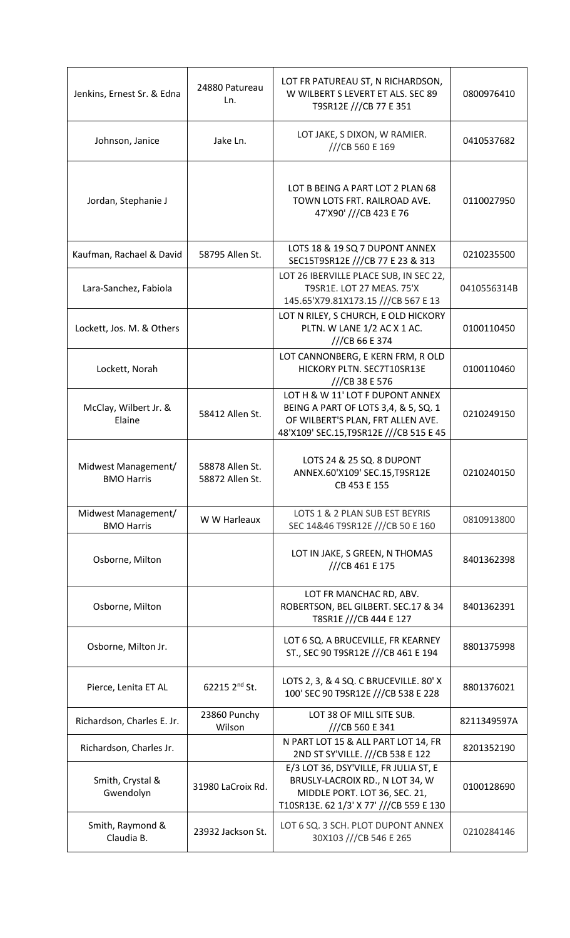| Jenkins, Ernest Sr. & Edna               | 24880 Patureau<br>Ln.              | LOT FR PATUREAU ST, N RICHARDSON,<br>W WILBERT S LEVERT ET ALS. SEC 89<br>T9SR12E ///CB 77 E 351                                                         | 0800976410  |
|------------------------------------------|------------------------------------|----------------------------------------------------------------------------------------------------------------------------------------------------------|-------------|
| Johnson, Janice                          | Jake Ln.                           | LOT JAKE, S DIXON, W RAMIER.<br>///CB 560 E 169                                                                                                          | 0410537682  |
| Jordan, Stephanie J                      |                                    | LOT B BEING A PART LOT 2 PLAN 68<br>TOWN LOTS FRT. RAILROAD AVE.<br>47'X90' ///CB 423 E 76                                                               | 0110027950  |
| Kaufman, Rachael & David                 | 58795 Allen St.                    | LOTS 18 & 19 SQ 7 DUPONT ANNEX<br>SEC15T9SR12E ///CB 77 E 23 & 313                                                                                       | 0210235500  |
| Lara-Sanchez, Fabiola                    |                                    | LOT 26 IBERVILLE PLACE SUB, IN SEC 22,<br>T9SR1E. LOT 27 MEAS. 75'X<br>145.65'X79.81X173.15 ///CB 567 E 13                                               | 0410556314B |
| Lockett, Jos. M. & Others                |                                    | LOT N RILEY, S CHURCH, E OLD HICKORY<br>PLTN. W LANE 1/2 AC X 1 AC.<br>///CB 66 E 374                                                                    | 0100110450  |
| Lockett, Norah                           |                                    | LOT CANNONBERG, E KERN FRM, R OLD<br>HICKORY PLTN. SEC7T10SR13E<br>///CB 38 E 576                                                                        | 0100110460  |
| McClay, Wilbert Jr. &<br>Elaine          | 58412 Allen St.                    | LOT H & W 11' LOT F DUPONT ANNEX<br>BEING A PART OF LOTS 3,4, & 5, SQ. 1<br>OF WILBERT'S PLAN, FRT ALLEN AVE.<br>48'X109' SEC.15, T9SR12E ///CB 515 E 45 | 0210249150  |
| Midwest Management/<br><b>BMO Harris</b> | 58878 Allen St.<br>58872 Allen St. | LOTS 24 & 25 SQ. 8 DUPONT<br>ANNEX.60'X109' SEC.15, T9SR12E<br>CB 453 E 155                                                                              | 0210240150  |
| Midwest Management/<br><b>BMO Harris</b> | W W Harleaux                       | LOTS 1 & 2 PLAN SUB EST BEYRIS<br>SEC 14&46 T9SR12E ///CB 50 E 160                                                                                       | 0810913800  |
| Osborne, Milton                          |                                    | LOT IN JAKE, S GREEN, N THOMAS<br>///CB 461 E 175                                                                                                        | 8401362398  |
| Osborne, Milton                          |                                    | LOT FR MANCHAC RD, ABV.<br>ROBERTSON, BEL GILBERT. SEC.17 & 34<br>T8SR1E ///CB 444 E 127                                                                 | 8401362391  |
| Osborne, Milton Jr.                      |                                    | LOT 6 SQ. A BRUCEVILLE, FR KEARNEY<br>ST., SEC 90 T9SR12E ///CB 461 E 194                                                                                | 8801375998  |
| Pierce, Lenita ET AL                     | 62215 2 <sup>nd</sup> St.          | LOTS 2, 3, & 4 SQ. C BRUCEVILLE. 80' X<br>100' SEC 90 T9SR12E ///CB 538 E 228                                                                            | 8801376021  |
| Richardson, Charles E. Jr.               | 23860 Punchy<br>Wilson             | LOT 38 OF MILL SITE SUB.<br>///CB 560 E 341                                                                                                              | 8211349597A |
| Richardson, Charles Jr.                  |                                    | N PART LOT 15 & ALL PART LOT 14, FR<br>2ND ST SY'VILLE. ///CB 538 E 122                                                                                  | 8201352190  |
| Smith, Crystal &<br>Gwendolyn            | 31980 LaCroix Rd.                  | E/3 LOT 36, DSY'VILLE, FR JULIA ST, E<br>BRUSLY-LACROIX RD., N LOT 34, W<br>MIDDLE PORT. LOT 36, SEC. 21,<br>T10SR13E. 62 1/3' X 77' ///CB 559 E 130     | 0100128690  |
| Smith, Raymond &<br>Claudia B.           | 23932 Jackson St.                  | LOT 6 SQ. 3 SCH. PLOT DUPONT ANNEX<br>30X103 ///CB 546 E 265                                                                                             | 0210284146  |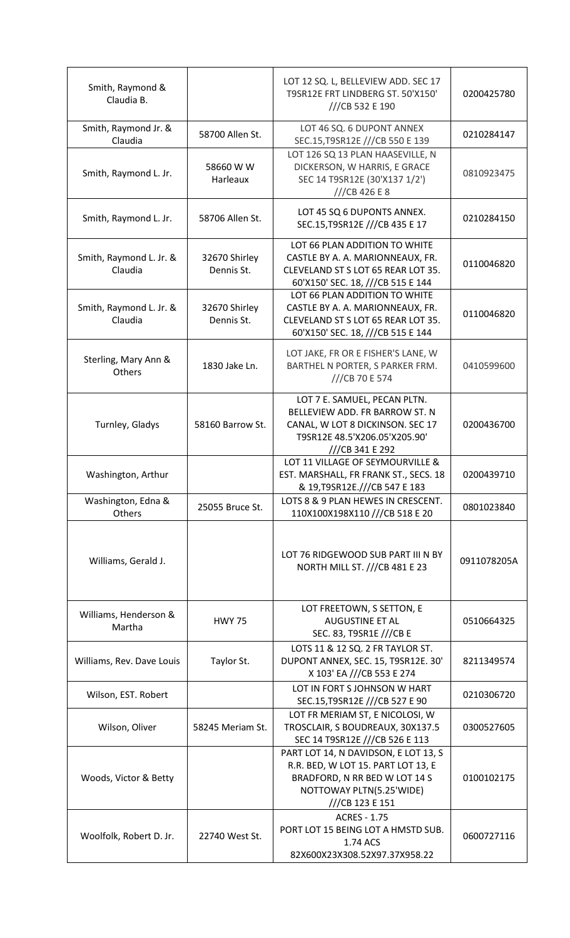| Smith, Raymond &<br>Claudia B.     |                             | LOT 12 SQ. L, BELLEVIEW ADD. SEC 17<br>T9SR12E FRT LINDBERG ST. 50'X150'<br>///CB 532 E 190                                                                | 0200425780  |
|------------------------------------|-----------------------------|------------------------------------------------------------------------------------------------------------------------------------------------------------|-------------|
| Smith, Raymond Jr. &<br>Claudia    | 58700 Allen St.             | LOT 46 SQ. 6 DUPONT ANNEX<br>SEC.15, T9SR12E ///CB 550 E 139                                                                                               | 0210284147  |
| Smith, Raymond L. Jr.              | 58660 W W<br>Harleaux       | LOT 126 SQ 13 PLAN HAASEVILLE, N<br>DICKERSON, W HARRIS, E GRACE<br>SEC 14 T9SR12E (30'X137 1/2')<br>//CB 426 E 8                                          | 0810923475  |
| Smith, Raymond L. Jr.              | 58706 Allen St.             | LOT 45 SQ 6 DUPONTS ANNEX.<br>SEC.15, T9SR12E ///CB 435 E 17                                                                                               | 0210284150  |
| Smith, Raymond L. Jr. &<br>Claudia | 32670 Shirley<br>Dennis St. | LOT 66 PLAN ADDITION TO WHITE<br>CASTLE BY A. A. MARIONNEAUX, FR.<br>CLEVELAND ST S LOT 65 REAR LOT 35.<br>60'X150' SEC. 18, ///CB 515 E 144               | 0110046820  |
| Smith, Raymond L. Jr. &<br>Claudia | 32670 Shirley<br>Dennis St. | LOT 66 PLAN ADDITION TO WHITE<br>CASTLE BY A. A. MARIONNEAUX, FR.<br>CLEVELAND ST S LOT 65 REAR LOT 35.<br>60'X150' SEC. 18, ///CB 515 E 144               | 0110046820  |
| Sterling, Mary Ann &<br>Others     | 1830 Jake Ln.               | LOT JAKE, FR OR E FISHER'S LANE, W<br>BARTHEL N PORTER, S PARKER FRM.<br>///CB 70 E 574                                                                    | 0410599600  |
| Turnley, Gladys                    | 58160 Barrow St.            | LOT 7 E. SAMUEL, PECAN PLTN.<br>BELLEVIEW ADD. FR BARROW ST. N<br>CANAL, W LOT 8 DICKINSON. SEC 17<br>T9SR12E 48.5'X206.05'X205.90'<br>///CB 341 E 292     | 0200436700  |
| Washington, Arthur                 |                             | LOT 11 VILLAGE OF SEYMOURVILLE &<br>EST. MARSHALL, FR FRANK ST., SECS. 18<br>& 19, T9SR12E.///CB 547 E 183                                                 | 0200439710  |
| Washington, Edna &<br>Others       | 25055 Bruce St.             | LOTS 8 & 9 PLAN HEWES IN CRESCENT.<br>110X100X198X110 ///CB 518 E 20                                                                                       | 0801023840  |
| Williams, Gerald J.                |                             | LOT 76 RIDGEWOOD SUB PART III N BY<br>NORTH MILL ST. ///CB 481 E 23                                                                                        | 0911078205A |
| Williams, Henderson &<br>Martha    | <b>HWY 75</b>               | LOT FREETOWN, S SETTON, E<br><b>AUGUSTINE ET AL</b><br>SEC. 83, T9SR1E ///CB E                                                                             | 0510664325  |
| Williams, Rev. Dave Louis          | Taylor St.                  | LOTS 11 & 12 SQ. 2 FR TAYLOR ST.<br>DUPONT ANNEX, SEC. 15, T9SR12E. 30'<br>X 103' EA ///CB 553 E 274                                                       | 8211349574  |
| Wilson, EST. Robert                |                             | LOT IN FORT S JOHNSON W HART<br>SEC.15, T9SR12E ///CB 527 E 90                                                                                             | 0210306720  |
| Wilson, Oliver                     | 58245 Meriam St.            | LOT FR MERIAM ST, E NICOLOSI, W<br>TROSCLAIR, S BOUDREAUX, 30X137.5<br>SEC 14 T9SR12E ///CB 526 E 113                                                      | 0300527605  |
| Woods, Victor & Betty              |                             | PART LOT 14, N DAVIDSON, E LOT 13, S<br>R.R. BED, W LOT 15. PART LOT 13, E<br>BRADFORD, N RR BED W LOT 14 S<br>NOTTOWAY PLTN(5.25'WIDE)<br>///CB 123 E 151 | 0100102175  |
| Woolfolk, Robert D. Jr.            | 22740 West St.              | <b>ACRES - 1.75</b><br>PORT LOT 15 BEING LOT A HMSTD SUB.<br>1.74 ACS<br>82X600X23X308.52X97.37X958.22                                                     | 0600727116  |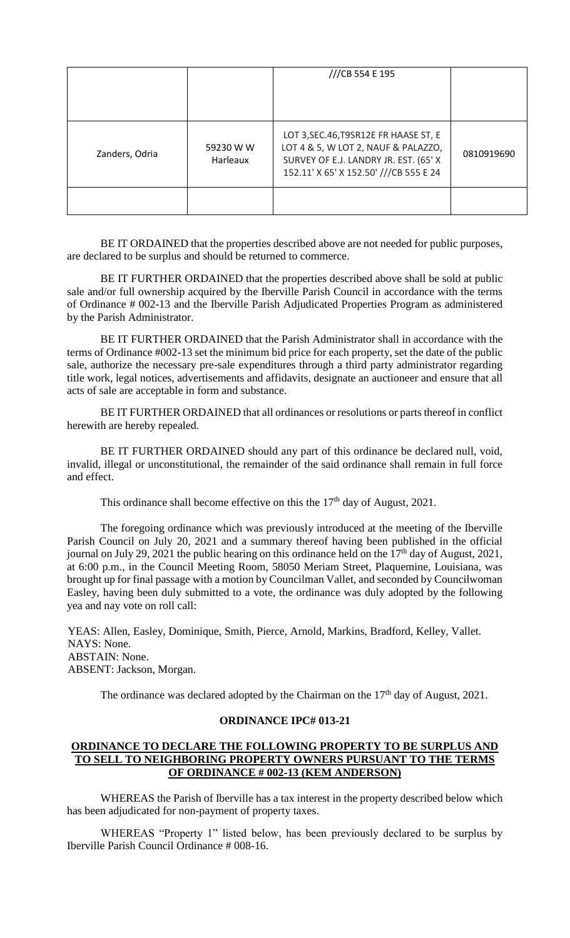|                |                       | ///CB 554 E 195                                                                                                                                                  |            |
|----------------|-----------------------|------------------------------------------------------------------------------------------------------------------------------------------------------------------|------------|
| Zanders, Odria | 59230 W W<br>Harleaux | LOT 3, SEC. 46, T9SR12E FR HAASE ST, E<br>LOT 4 & 5, W LOT 2, NAUF & PALAZZO,<br>SURVEY OF E.J. LANDRY JR. EST. (65' X<br>152.11' X 65' X 152.50' ///CB 555 E 24 | 0810919690 |
|                |                       |                                                                                                                                                                  |            |

BE IT ORDAINED that the properties described above are not needed for public purposes, are declared to be surplus and should be returned to commerce.

BE IT FURTHER ORDAINED that the properties described above shall be sold at public sale and/or full ownership acquired by the Iberville Parish Council in accordance with the terms of Ordinance # 002-13 and the Iberville Parish Adjudicated Properties Program as administered by the Parish Administrator.

BE IT FURTHER ORDAINED that the Parish Administrator shall in accordance with the terms of Ordinance #002-13 set the minimum bid price for each property, set the date of the public sale, authorize the necessary pre-sale expenditures through a third party administrator regarding title work, legal notices, advertisements and affidavits, designate an auctioneer and ensure that all acts of sale are acceptable in form and substance.

BE IT FURTHER ORDAINED that all ordinances or resolutions or parts thereof in conflict herewith are hereby repealed.

BE IT FURTHER ORDAINED should any part of this ordinance be declared null, void, invalid, illegal or unconstitutional, the remainder of the said ordinance shall remain in full force and effect.

This ordinance shall become effective on this the  $17<sup>th</sup>$  day of August, 2021.

The foregoing ordinance which was previously introduced at the meeting of the Iberville Parish Council on July 20, 2021 and a summary thereof having been published in the official journal on July 29, 2021 the public hearing on this ordinance held on the  $17<sup>th</sup>$  day of August, 2021, at 6:00 p.m., in the Council Meeting Room, 58050 Meriam Street, Plaquemine, Louisiana, was brought up for final passage with a motion by Councilman Vallet, and seconded by Councilwoman Easley, having been duly submitted to a vote, the ordinance was duly adopted by the following yea and nay vote on roll call:

YEAS: Allen, Easley, Dominique, Smith, Pierce, Arnold, Markins, Bradford, Kelley, Vallet. NAYS: None. ABSTAIN: None. ABSENT: Jackson, Morgan.

The ordinance was declared adopted by the Chairman on the  $17<sup>th</sup>$  day of August, 2021.

# **ORDINANCE IPC# 013-21**

# **ORDINANCE TO DECLARE THE FOLLOWING PROPERTY TO BE SURPLUS AND TO SELL TO NEIGHBORING PROPERTY OWNERS PURSUANT TO THE TERMS OF ORDINANCE # 002-13 (KEM ANDERSON)**

WHEREAS the Parish of Iberville has a tax interest in the property described below which has been adjudicated for non-payment of property taxes.

WHEREAS "Property 1" listed below, has been previously declared to be surplus by Iberville Parish Council Ordinance # 008-16.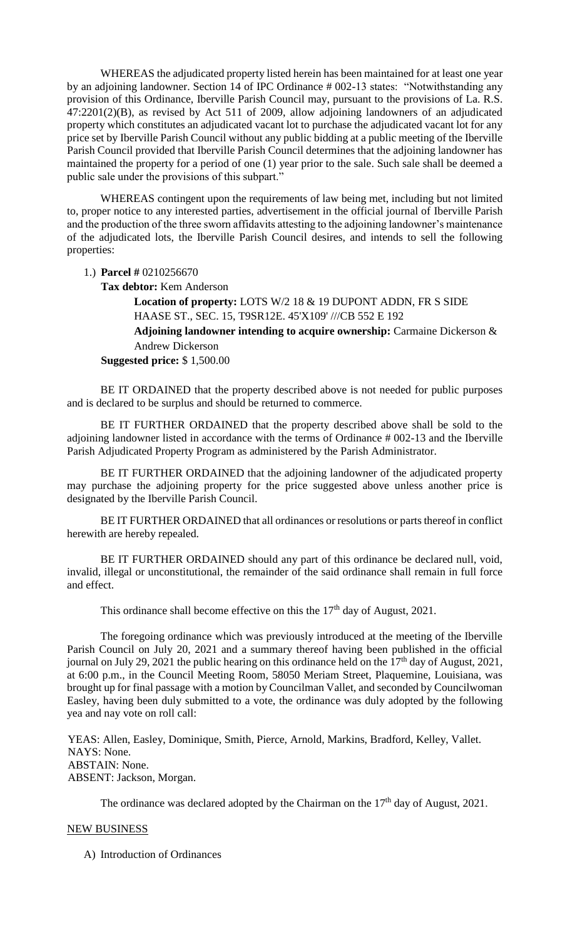WHEREAS the adjudicated property listed herein has been maintained for at least one year by an adjoining landowner. Section 14 of IPC Ordinance # 002-13 states: "Notwithstanding any provision of this Ordinance, Iberville Parish Council may, pursuant to the provisions of La. R.S. 47:2201(2)(B), as revised by Act 511 of 2009, allow adjoining landowners of an adjudicated property which constitutes an adjudicated vacant lot to purchase the adjudicated vacant lot for any price set by Iberville Parish Council without any public bidding at a public meeting of the Iberville Parish Council provided that Iberville Parish Council determines that the adjoining landowner has maintained the property for a period of one (1) year prior to the sale. Such sale shall be deemed a public sale under the provisions of this subpart."

WHEREAS contingent upon the requirements of law being met, including but not limited to, proper notice to any interested parties, advertisement in the official journal of Iberville Parish and the production of the three sworn affidavits attesting to the adjoining landowner's maintenance of the adjudicated lots, the Iberville Parish Council desires, and intends to sell the following properties:

1.) **Parcel #** 0210256670

**Tax debtor:** Kem Anderson

**Location of property:** LOTS W/2 18 & 19 DUPONT ADDN, FR S SIDE HAASE ST., SEC. 15, T9SR12E. 45'X109' ///CB 552 E 192

**Adjoining landowner intending to acquire ownership:** Carmaine Dickerson & Andrew Dickerson

**Suggested price:** \$ 1,500.00

BE IT ORDAINED that the property described above is not needed for public purposes and is declared to be surplus and should be returned to commerce.

BE IT FURTHER ORDAINED that the property described above shall be sold to the adjoining landowner listed in accordance with the terms of Ordinance # 002-13 and the Iberville Parish Adjudicated Property Program as administered by the Parish Administrator.

BE IT FURTHER ORDAINED that the adjoining landowner of the adjudicated property may purchase the adjoining property for the price suggested above unless another price is designated by the Iberville Parish Council.

BE IT FURTHER ORDAINED that all ordinances or resolutions or parts thereof in conflict herewith are hereby repealed.

BE IT FURTHER ORDAINED should any part of this ordinance be declared null, void, invalid, illegal or unconstitutional, the remainder of the said ordinance shall remain in full force and effect.

This ordinance shall become effective on this the  $17<sup>th</sup>$  day of August, 2021.

The foregoing ordinance which was previously introduced at the meeting of the Iberville Parish Council on July 20, 2021 and a summary thereof having been published in the official journal on July 29, 2021 the public hearing on this ordinance held on the  $17<sup>th</sup>$  day of August, 2021, at 6:00 p.m., in the Council Meeting Room, 58050 Meriam Street, Plaquemine, Louisiana, was brought up for final passage with a motion by Councilman Vallet, and seconded by Councilwoman Easley, having been duly submitted to a vote, the ordinance was duly adopted by the following yea and nay vote on roll call:

YEAS: Allen, Easley, Dominique, Smith, Pierce, Arnold, Markins, Bradford, Kelley, Vallet. NAYS: None. ABSTAIN: None. ABSENT: Jackson, Morgan.

The ordinance was declared adopted by the Chairman on the  $17<sup>th</sup>$  day of August, 2021.

# NEW BUSINESS

A) Introduction of Ordinances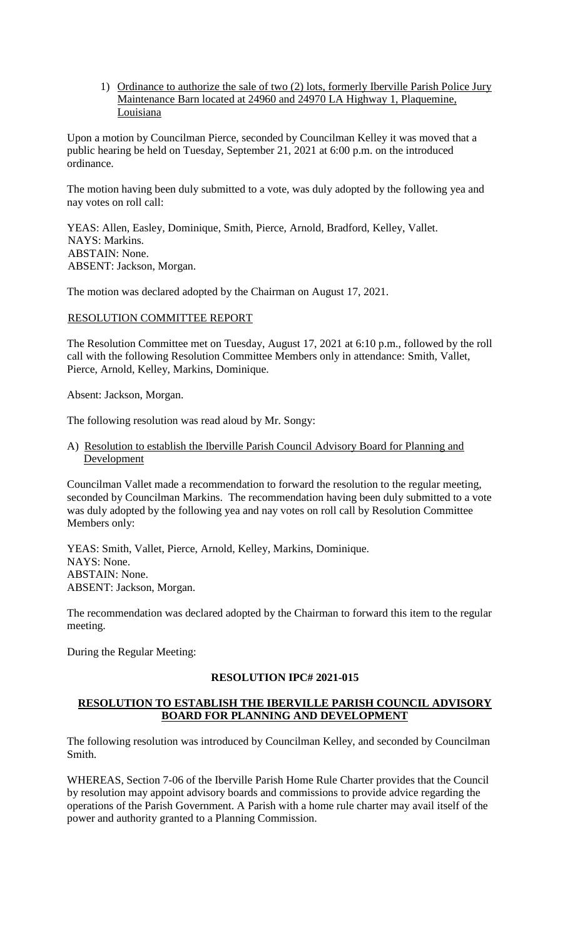1) Ordinance to authorize the sale of two (2) lots, formerly Iberville Parish Police Jury Maintenance Barn located at 24960 and 24970 LA Highway 1, Plaquemine, Louisiana

Upon a motion by Councilman Pierce, seconded by Councilman Kelley it was moved that a public hearing be held on Tuesday, September 21, 2021 at 6:00 p.m. on the introduced ordinance.

The motion having been duly submitted to a vote, was duly adopted by the following yea and nay votes on roll call:

YEAS: Allen, Easley, Dominique, Smith, Pierce, Arnold, Bradford, Kelley, Vallet. NAYS: Markins. ABSTAIN: None. ABSENT: Jackson, Morgan.

The motion was declared adopted by the Chairman on August 17, 2021.

# RESOLUTION COMMITTEE REPORT

The Resolution Committee met on Tuesday, August 17, 2021 at 6:10 p.m., followed by the roll call with the following Resolution Committee Members only in attendance: Smith, Vallet, Pierce, Arnold, Kelley, Markins, Dominique.

Absent: Jackson, Morgan.

The following resolution was read aloud by Mr. Songy:

A) Resolution to establish the Iberville Parish Council Advisory Board for Planning and **Development** 

Councilman Vallet made a recommendation to forward the resolution to the regular meeting, seconded by Councilman Markins. The recommendation having been duly submitted to a vote was duly adopted by the following yea and nay votes on roll call by Resolution Committee Members only:

YEAS: Smith, Vallet, Pierce, Arnold, Kelley, Markins, Dominique. NAYS: None. ABSTAIN: None. ABSENT: Jackson, Morgan.

The recommendation was declared adopted by the Chairman to forward this item to the regular meeting.

During the Regular Meeting:

#### **RESOLUTION IPC# 2021-015**

# **RESOLUTION TO ESTABLISH THE IBERVILLE PARISH COUNCIL ADVISORY BOARD FOR PLANNING AND DEVELOPMENT**

The following resolution was introduced by Councilman Kelley, and seconded by Councilman Smith.

WHEREAS, Section 7-06 of the Iberville Parish Home Rule Charter provides that the Council by resolution may appoint advisory boards and commissions to provide advice regarding the operations of the Parish Government. A Parish with a home rule charter may avail itself of the power and authority granted to a Planning Commission.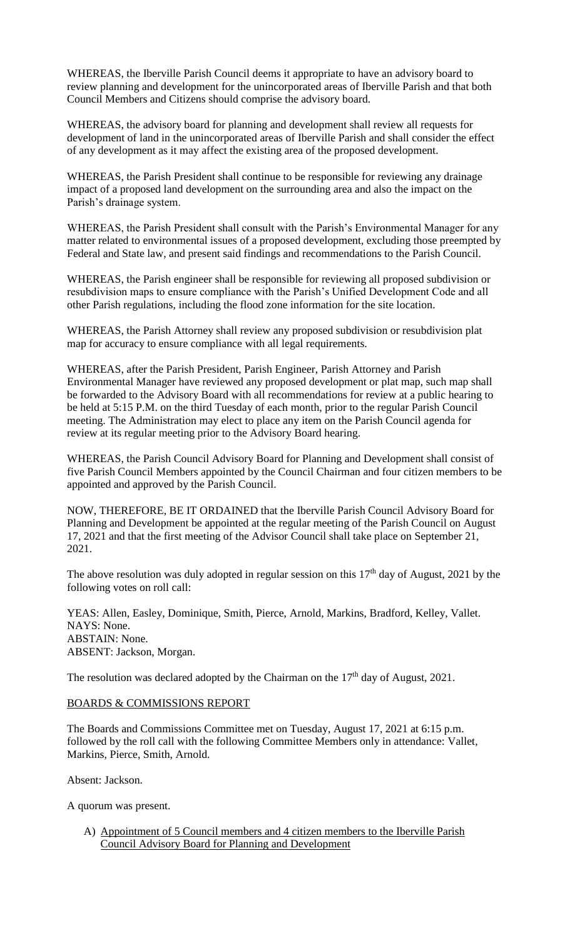WHEREAS, the Iberville Parish Council deems it appropriate to have an advisory board to review planning and development for the unincorporated areas of Iberville Parish and that both Council Members and Citizens should comprise the advisory board.

WHEREAS, the advisory board for planning and development shall review all requests for development of land in the unincorporated areas of Iberville Parish and shall consider the effect of any development as it may affect the existing area of the proposed development.

WHEREAS, the Parish President shall continue to be responsible for reviewing any drainage impact of a proposed land development on the surrounding area and also the impact on the Parish's drainage system.

WHEREAS, the Parish President shall consult with the Parish's Environmental Manager for any matter related to environmental issues of a proposed development, excluding those preempted by Federal and State law, and present said findings and recommendations to the Parish Council.

WHEREAS, the Parish engineer shall be responsible for reviewing all proposed subdivision or resubdivision maps to ensure compliance with the Parish's Unified Development Code and all other Parish regulations, including the flood zone information for the site location.

WHEREAS, the Parish Attorney shall review any proposed subdivision or resubdivision plat map for accuracy to ensure compliance with all legal requirements.

WHEREAS, after the Parish President, Parish Engineer, Parish Attorney and Parish Environmental Manager have reviewed any proposed development or plat map, such map shall be forwarded to the Advisory Board with all recommendations for review at a public hearing to be held at 5:15 P.M. on the third Tuesday of each month, prior to the regular Parish Council meeting. The Administration may elect to place any item on the Parish Council agenda for review at its regular meeting prior to the Advisory Board hearing.

WHEREAS, the Parish Council Advisory Board for Planning and Development shall consist of five Parish Council Members appointed by the Council Chairman and four citizen members to be appointed and approved by the Parish Council.

NOW, THEREFORE, BE IT ORDAINED that the Iberville Parish Council Advisory Board for Planning and Development be appointed at the regular meeting of the Parish Council on August 17, 2021 and that the first meeting of the Advisor Council shall take place on September 21, 2021.

The above resolution was duly adopted in regular session on this  $17<sup>th</sup>$  day of August, 2021 by the following votes on roll call:

YEAS: Allen, Easley, Dominique, Smith, Pierce, Arnold, Markins, Bradford, Kelley, Vallet. NAYS: None. ABSTAIN: None. ABSENT: Jackson, Morgan.

The resolution was declared adopted by the Chairman on the  $17<sup>th</sup>$  day of August, 2021.

# BOARDS & COMMISSIONS REPORT

The Boards and Commissions Committee met on Tuesday, August 17, 2021 at 6:15 p.m. followed by the roll call with the following Committee Members only in attendance: Vallet, Markins, Pierce, Smith, Arnold.

Absent: Jackson.

A quorum was present.

A) Appointment of 5 Council members and 4 citizen members to the Iberville Parish Council Advisory Board for Planning and Development